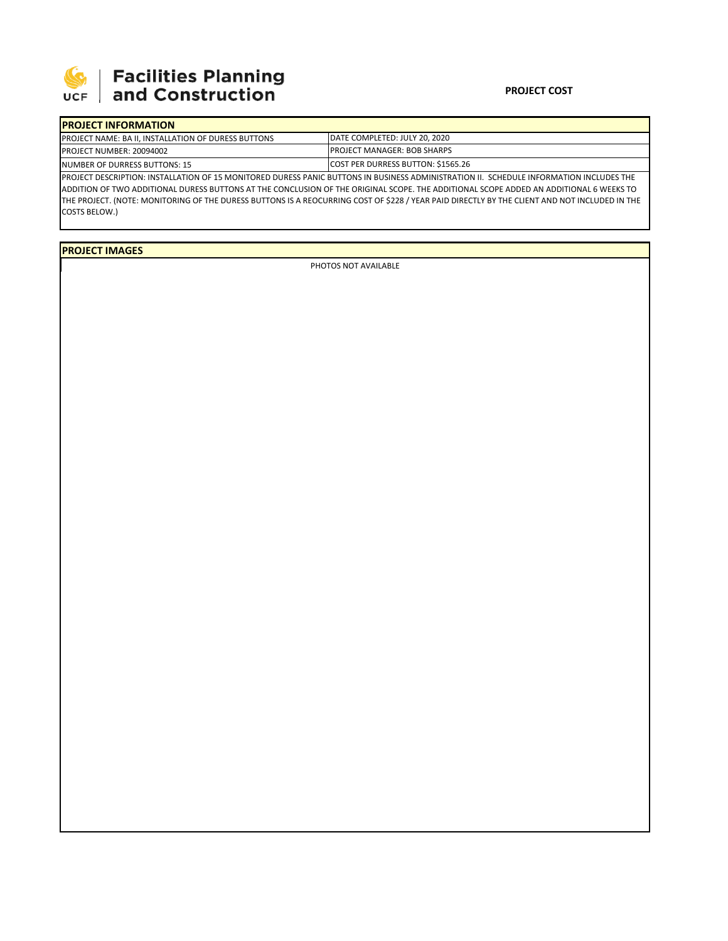

## 

## **PROJECT COST**

| <b>IPROJECT INFORMATION</b>                                |                                                                                                                                               |  |  |  |  |  |  |  |
|------------------------------------------------------------|-----------------------------------------------------------------------------------------------------------------------------------------------|--|--|--|--|--|--|--|
| <b>PROJECT NAME: BA II. INSTALLATION OF DURESS BUTTONS</b> | DATE COMPLETED: JULY 20, 2020                                                                                                                 |  |  |  |  |  |  |  |
| PROJECT NUMBER: 20094002                                   | <b>PROJECT MANAGER: BOB SHARPS</b>                                                                                                            |  |  |  |  |  |  |  |
| <b>INUMBER OF DURRESS BUTTONS: 15</b>                      | COST PER DURRESS BUTTON: \$1565.26                                                                                                            |  |  |  |  |  |  |  |
|                                                            | PROJECT DESCRIPTION: INSTALLATION OF 15 MONITORED DURESS PANIC BUTTONS IN BUSINESS ADMINISTRATION II. SCHEDULE INFORMATION INCLUDES THE       |  |  |  |  |  |  |  |
|                                                            | ADDITION OF TWO ADDITIONAL DURESS BUTTONS AT THE CONCLUSION OF THE ORIGINAL SCOPE. THE ADDITIONAL SCOPE ADDED AN ADDITIONAL 6 WEEKS TO        |  |  |  |  |  |  |  |
|                                                            | THE PROJECT. (NOTE: MONITORING OF THE DURESS BUTTONS IS A REOCURRING COST OF \$228 / YEAR PAID DIRECTLY BY THE CLIENT AND NOT INCLUDED IN THE |  |  |  |  |  |  |  |

COSTS BELOW.)

**PROJECT IMAGES**

PHOTOS NOT AVAILABLE